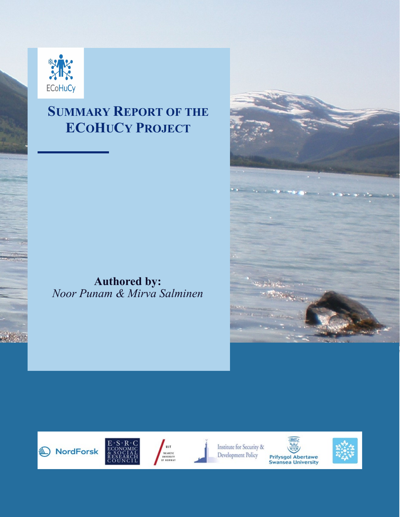

## **SUMMARY REPORT OF THE ECOHUCY PROJECT**

**Authored by:** *Noor Punam & Mirva Salminen*









Institute for Security & Development Policy





**Prifysgol Abertawe**<br>Swansea University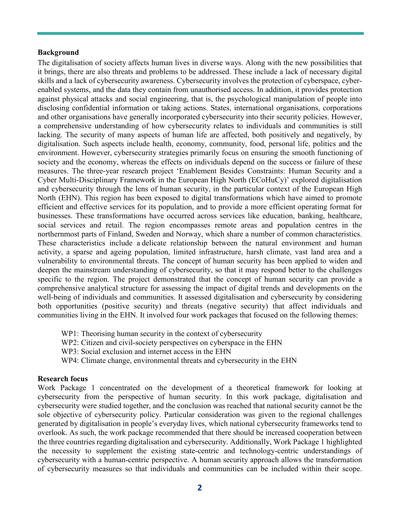## **Background**

The digitalisation of society affects human lives in diverse ways. Along with the new possibilities that it brings, there are also threats and problems to be addressed. These include a lack of necessary digital skills and a lack of cybersecurity awareness. Cybersecurity involves the protection of cyberspace, cyberenabled systems, and the data they contain from unauthorised access. In addition, it provides protection against physical attacks and social engineering, that is, the psychological manipulation of people into disclosing confidential information or taking actions. States, international organisations, corporations and other organisations have generally incorporated cybersecurity into their security policies. However, a comprehensive understanding of how cybersecurity relates to individuals and communities is still lacking. The security of many aspects of human life are affected, both positively and negatively, by digitalisation. Such aspects include health, economy, community, food, personal life, politics and the environment. However, cybersecurity strategies primarily focus on ensuring the smooth functioning of society and the economy, whereas the effects on individuals depend on the success or failure of these measures. The three-year research project 'Enablement Besides Constraints: Human Security and a Cyber Multi-Disciplinary Framework in the European High North (ECoHuCy)' explored digitalisation and cybersecurity through the lens of human security, in the particular context of the European High North (EHN). This region has been exposed to digital transformations which have aimed to promote efficient and effective services for its population, and to provide a more efficient operating format for businesses. These transformations have occurred across services like education, banking, healthcare, social services and retail. The region encompasses remote areas and population centres in the northernmost parts of Finland, Sweden and Norway, which share a number of common characteristics. These characteristics include a delicate relationship between the natural environment and human activity, a sparse and ageing population, limited infrastructure, harsh climate, vast land area and a vulnerability to environmental threats. The concept of human security has been applied to widen and deepen the mainstream understanding of cybersecurity, so that it may respond better to the challenges specific to the region. The project demonstrated that the concept of human security can provide a comprehensive analytical structure for assessing the impact of digital trends and developments on the well-being of individuals and communities. It assessed digitalisation and cybersecurity by considering both opportunities (positive security) and threats (negative security) that affect individuals and communities living in the EHN. It involved four work packages that focused on the following themes:

WP1: Theorising human security in the context of cybersecurity

WP2: Citizen and civil-society perspectives on cyberspace in the EHN

WP3: Social exclusion and internet access in the EHN

WP4: Climate change, environmental threats and cybersecurity in the EHN

## **Research focus**

Work Package 1 concentrated on the development of a theoretical framework for looking at cybersecurity from the perspective of human security. In this work package, digitalisation and cybersecurity were studied together, and the conclusion was reached that national security cannot be the sole objective of cybersecurity policy. Particular consideration was given to the regional challenges generated by digitalisation in people's everyday lives, which national cybersecurity frameworks tend to overlook. As such, the work package recommended that there should be increased cooperation between the three countries regarding digitalisation and cybersecurity. Additionally, Work Package 1 highlighted the necessity to supplement the existing state-centric and technology-centric understandings of cybersecurity with a human-centric perspective. A human security approach allows the transformation of cybersecurity measures so that individuals and communities can be included within their scope.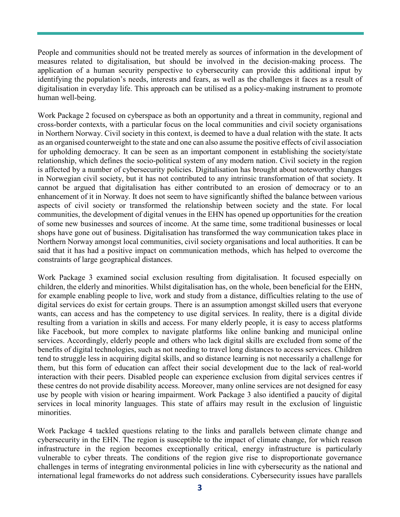People and communities should not be treated merely as sources of information in the development of measures related to digitalisation, but should be involved in the decision-making process. The application of a human security perspective to cybersecurity can provide this additional input by identifying the population's needs, interests and fears, as well as the challenges it faces as a result of digitalisation in everyday life. This approach can be utilised as a policy-making instrument to promote human well-being.

Work Package 2 focused on cyberspace as both an opportunity and a threat in community, regional and cross-border contexts, with a particular focus on the local communities and civil society organisations in Northern Norway. Civil society in this context, is deemed to have a dual relation with the state. It acts as an organised counterweight to the state and one can also assume the positive effects of civil association for upholding democracy. It can be seen as an important component in establishing the society/state relationship, which defines the socio-political system of any modern nation. Civil society in the region is affected by a number of cybersecurity policies. Digitalisation has brought about noteworthy changes in Norwegian civil society, but it has not contributed to any intrinsic transformation of that society. It cannot be argued that digitalisation has either contributed to an erosion of democracy or to an enhancement of it in Norway. It does not seem to have significantly shifted the balance between various aspects of civil society or transformed the relationship between society and the state. For local communities, the development of digital venues in the EHN has opened up opportunities for the creation of some new businesses and sources of income. At the same time, some traditional businesses or local shops have gone out of business. Digitalisation has transformed the way communication takes place in Northern Norway amongst local communities, civil society organisations and local authorities. It can be said that it has had a positive impact on communication methods, which has helped to overcome the constraints of large geographical distances.

Work Package 3 examined social exclusion resulting from digitalisation. It focused especially on children, the elderly and minorities. Whilst digitalisation has, on the whole, been beneficial for the EHN, for example enabling people to live, work and study from a distance, difficulties relating to the use of digital services do exist for certain groups. There is an assumption amongst skilled users that everyone wants, can access and has the competency to use digital services. In reality, there is a digital divide resulting from a variation in skills and access. For many elderly people, it is easy to access platforms like Facebook, but more complex to navigate platforms like online banking and municipal online services. Accordingly, elderly people and others who lack digital skills are excluded from some of the benefits of digital technologies, such as not needing to travel long distances to access services. Children tend to struggle less in acquiring digital skills, and so distance learning is not necessarily a challenge for them, but this form of education can affect their social development due to the lack of real-world interaction with their peers. Disabled people can experience exclusion from digital services centres if these centres do not provide disability access. Moreover, many online services are not designed for easy use by people with vision or hearing impairment. Work Package 3 also identified a paucity of digital services in local minority languages. This state of affairs may result in the exclusion of linguistic minorities.

Work Package 4 tackled questions relating to the links and parallels between climate change and cybersecurity in the EHN. The region is susceptible to the impact of climate change, for which reason infrastructure in the region becomes exceptionally critical, energy infrastructure is particularly vulnerable to cyber threats. The conditions of the region give rise to disproportionate governance challenges in terms of integrating environmental policies in line with cybersecurity as the national and international legal frameworks do not address such considerations. Cybersecurity issues have parallels